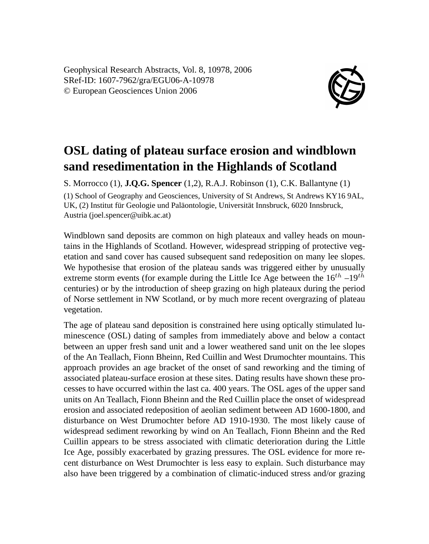Geophysical Research Abstracts, Vol. 8, 10978, 2006 SRef-ID: 1607-7962/gra/EGU06-A-10978 © European Geosciences Union 2006



## **OSL dating of plateau surface erosion and windblown sand resedimentation in the Highlands of Scotland**

S. Morrocco (1), **J.Q.G. Spencer** (1,2), R.A.J. Robinson (1), C.K. Ballantyne (1) (1) School of Geography and Geosciences, University of St Andrews, St Andrews KY16 9AL, UK, (2) Institut für Geologie und Paläontologie, Universität Innsbruck, 6020 Innsbruck, Austria (joel.spencer@uibk.ac.at)

Windblown sand deposits are common on high plateaux and valley heads on mountains in the Highlands of Scotland. However, widespread stripping of protective vegetation and sand cover has caused subsequent sand redeposition on many lee slopes. We hypothesise that erosion of the plateau sands was triggered either by unusually extreme storm events (for example during the Little Ice Age between the  $16^{th}$  –19<sup>th</sup> centuries) or by the introduction of sheep grazing on high plateaux during the period of Norse settlement in NW Scotland, or by much more recent overgrazing of plateau vegetation.

The age of plateau sand deposition is constrained here using optically stimulated luminescence (OSL) dating of samples from immediately above and below a contact between an upper fresh sand unit and a lower weathered sand unit on the lee slopes of the An Teallach, Fionn Bheinn, Red Cuillin and West Drumochter mountains. This approach provides an age bracket of the onset of sand reworking and the timing of associated plateau-surface erosion at these sites. Dating results have shown these processes to have occurred within the last ca. 400 years. The OSL ages of the upper sand units on An Teallach, Fionn Bheinn and the Red Cuillin place the onset of widespread erosion and associated redeposition of aeolian sediment between AD 1600-1800, and disturbance on West Drumochter before AD 1910-1930. The most likely cause of widespread sediment reworking by wind on An Teallach, Fionn Bheinn and the Red Cuillin appears to be stress associated with climatic deterioration during the Little Ice Age, possibly exacerbated by grazing pressures. The OSL evidence for more recent disturbance on West Drumochter is less easy to explain. Such disturbance may also have been triggered by a combination of climatic-induced stress and/or grazing